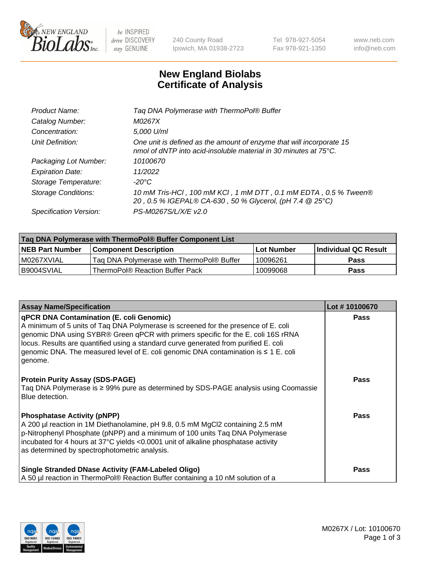

 $be$  INSPIRED drive DISCOVERY stay GENUINE

240 County Road Ipswich, MA 01938-2723 Tel 978-927-5054 Fax 978-921-1350 www.neb.com info@neb.com

## **New England Biolabs Certificate of Analysis**

| Tag DNA Polymerase with ThermoPol® Buffer                                                                                                |
|------------------------------------------------------------------------------------------------------------------------------------------|
| M0267X                                                                                                                                   |
| 5,000 U/ml                                                                                                                               |
| One unit is defined as the amount of enzyme that will incorporate 15<br>nmol of dNTP into acid-insoluble material in 30 minutes at 75°C. |
| 10100670                                                                                                                                 |
| 11/2022                                                                                                                                  |
| $-20^{\circ}$ C                                                                                                                          |
| 10 mM Tris-HCl, 100 mM KCl, 1 mM DTT, 0.1 mM EDTA, 0.5 % Tween®<br>20, 0.5 % IGEPAL® CA-630, 50 % Glycerol, (pH 7.4 @ 25°C)              |
| PS-M0267S/L/X/E v2.0                                                                                                                     |
|                                                                                                                                          |

| ∣Taq DNA Polymerase with ThermoPol® Buffer Component List |                                           |                   |                      |  |
|-----------------------------------------------------------|-------------------------------------------|-------------------|----------------------|--|
| <b>NEB Part Number</b>                                    | <b>Component Description</b>              | <b>Lot Number</b> | Individual QC Result |  |
| I M0267XVIAL                                              | Tag DNA Polymerase with ThermoPol® Buffer | 10096261          | Pass                 |  |
| B9004SVIAL                                                | ThermoPol® Reaction Buffer Pack           | 10099068          | Pass                 |  |

| <b>Assay Name/Specification</b>                                                                                                                                                                                                                                                                                                                                                                                    | Lot #10100670 |
|--------------------------------------------------------------------------------------------------------------------------------------------------------------------------------------------------------------------------------------------------------------------------------------------------------------------------------------------------------------------------------------------------------------------|---------------|
| qPCR DNA Contamination (E. coli Genomic)<br>A minimum of 5 units of Tag DNA Polymerase is screened for the presence of E. coli<br>genomic DNA using SYBR® Green qPCR with primers specific for the E. coli 16S rRNA<br>locus. Results are quantified using a standard curve generated from purified E. coli<br>genomic DNA. The measured level of E. coli genomic DNA contamination is $\leq 1$ E. coli<br>genome. | <b>Pass</b>   |
| <b>Protein Purity Assay (SDS-PAGE)</b><br>Taq DNA Polymerase is ≥ 99% pure as determined by SDS-PAGE analysis using Coomassie<br>Blue detection.                                                                                                                                                                                                                                                                   | <b>Pass</b>   |
| <b>Phosphatase Activity (pNPP)</b><br>A 200 µl reaction in 1M Diethanolamine, pH 9.8, 0.5 mM MgCl2 containing 2.5 mM<br>p-Nitrophenyl Phosphate (pNPP) and a minimum of 100 units Taq DNA Polymerase<br>incubated for 4 hours at 37°C yields <0.0001 unit of alkaline phosphatase activity<br>as determined by spectrophotometric analysis.                                                                        | Pass          |
| <b>Single Stranded DNase Activity (FAM-Labeled Oligo)</b><br>A 50 µl reaction in ThermoPol® Reaction Buffer containing a 10 nM solution of a                                                                                                                                                                                                                                                                       | Pass          |

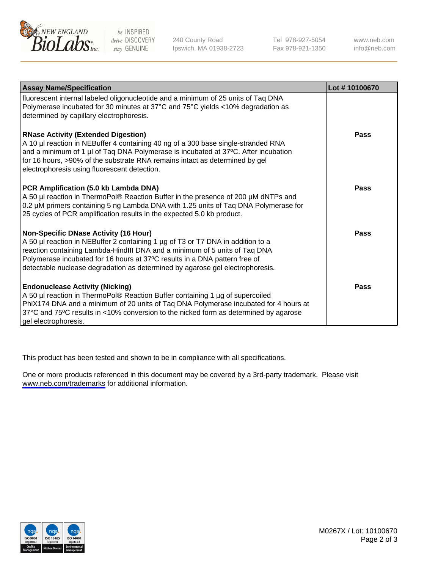

be INSPIRED drive DISCOVERY stay GENUINE

240 County Road Ipswich, MA 01938-2723 Tel 978-927-5054 Fax 978-921-1350

www.neb.com info@neb.com

| <b>Assay Name/Specification</b>                                                                                                                                                                                                                                                                                                                                              | Lot #10100670 |
|------------------------------------------------------------------------------------------------------------------------------------------------------------------------------------------------------------------------------------------------------------------------------------------------------------------------------------------------------------------------------|---------------|
| fluorescent internal labeled oligonucleotide and a minimum of 25 units of Taq DNA<br>Polymerase incubated for 30 minutes at 37°C and 75°C yields <10% degradation as<br>determined by capillary electrophoresis.                                                                                                                                                             |               |
| <b>RNase Activity (Extended Digestion)</b><br>A 10 µl reaction in NEBuffer 4 containing 40 ng of a 300 base single-stranded RNA<br>and a minimum of 1 µl of Taq DNA Polymerase is incubated at 37°C. After incubation<br>for 16 hours, >90% of the substrate RNA remains intact as determined by gel<br>electrophoresis using fluorescent detection.                         | <b>Pass</b>   |
| PCR Amplification (5.0 kb Lambda DNA)<br>A 50 µl reaction in ThermoPol® Reaction Buffer in the presence of 200 µM dNTPs and<br>0.2 µM primers containing 5 ng Lambda DNA with 1.25 units of Taq DNA Polymerase for<br>25 cycles of PCR amplification results in the expected 5.0 kb product.                                                                                 | <b>Pass</b>   |
| <b>Non-Specific DNase Activity (16 Hour)</b><br>A 50 µl reaction in NEBuffer 2 containing 1 µg of T3 or T7 DNA in addition to a<br>reaction containing Lambda-HindIII DNA and a minimum of 5 units of Taq DNA<br>Polymerase incubated for 16 hours at 37°C results in a DNA pattern free of<br>detectable nuclease degradation as determined by agarose gel electrophoresis. | Pass          |
| <b>Endonuclease Activity (Nicking)</b><br>A 50 µl reaction in ThermoPol® Reaction Buffer containing 1 µg of supercoiled<br>PhiX174 DNA and a minimum of 20 units of Taq DNA Polymerase incubated for 4 hours at<br>37°C and 75°C results in <10% conversion to the nicked form as determined by agarose<br>gel electrophoresis.                                              | Pass          |

This product has been tested and shown to be in compliance with all specifications.

One or more products referenced in this document may be covered by a 3rd-party trademark. Please visit <www.neb.com/trademarks>for additional information.